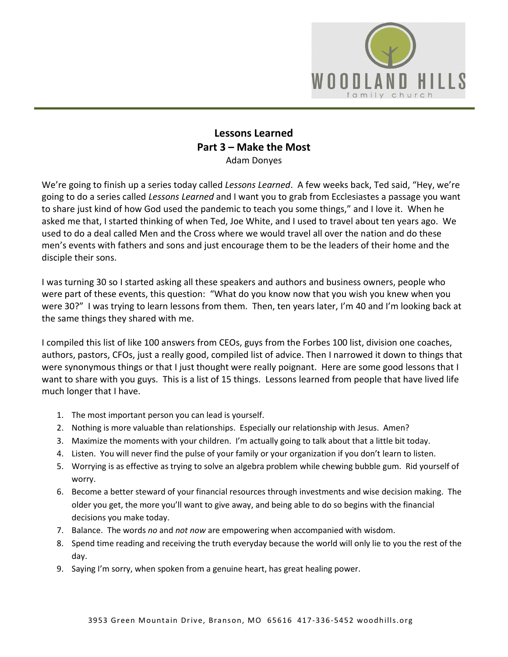

## **Lessons Learned Part 3 – Make the Most** Adam Donyes

We're going to finish up a series today called *Lessons Learned*. A few weeks back, Ted said, "Hey, we're going to do a series called *Lessons Learned* and I want you to grab from Ecclesiastes a passage you want to share just kind of how God used the pandemic to teach you some things," and I love it. When he asked me that, I started thinking of when Ted, Joe White, and I used to travel about ten years ago. We used to do a deal called Men and the Cross where we would travel all over the nation and do these men's events with fathers and sons and just encourage them to be the leaders of their home and the disciple their sons.

I was turning 30 so I started asking all these speakers and authors and business owners, people who were part of these events, this question: "What do you know now that you wish you knew when you were 30?" I was trying to learn lessons from them. Then, ten years later, I'm 40 and I'm looking back at the same things they shared with me.

I compiled this list of like 100 answers from CEOs, guys from the Forbes 100 list, division one coaches, authors, pastors, CFOs, just a really good, compiled list of advice. Then I narrowed it down to things that were synonymous things or that I just thought were really poignant. Here are some good lessons that I want to share with you guys. This is a list of 15 things. Lessons learned from people that have lived life much longer that I have.

- 1. The most important person you can lead is yourself.
- 2. Nothing is more valuable than relationships. Especially our relationship with Jesus. Amen?
- 3. Maximize the moments with your children. I'm actually going to talk about that a little bit today.
- 4. Listen. You will never find the pulse of your family or your organization if you don't learn to listen.
- 5. Worrying is as effective as trying to solve an algebra problem while chewing bubble gum. Rid yourself of worry.
- 6. Become a better steward of your financial resources through investments and wise decision making. The older you get, the more you'll want to give away, and being able to do so begins with the financial decisions you make today.
- 7. Balance. The words *no* and *not now* are empowering when accompanied with wisdom.
- 8. Spend time reading and receiving the truth everyday because the world will only lie to you the rest of the day.
- 9. Saying I'm sorry, when spoken from a genuine heart, has great healing power.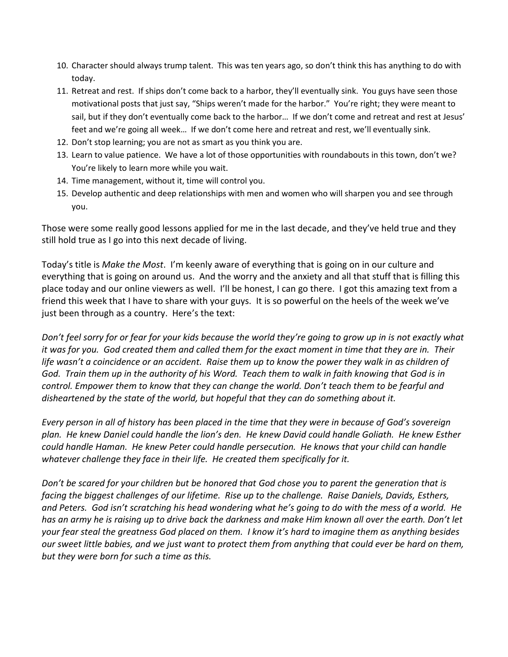- 10. Character should always trump talent. This was ten years ago, so don't think this has anything to do with today.
- 11. Retreat and rest. If ships don't come back to a harbor, they'll eventually sink. You guys have seen those motivational posts that just say, "Ships weren't made for the harbor." You're right; they were meant to sail, but if they don't eventually come back to the harbor… If we don't come and retreat and rest at Jesus' feet and we're going all week… If we don't come here and retreat and rest, we'll eventually sink.
- 12. Don't stop learning; you are not as smart as you think you are.
- 13. Learn to value patience. We have a lot of those opportunities with roundabouts in this town, don't we? You're likely to learn more while you wait.
- 14. Time management, without it, time will control you.
- 15. Develop authentic and deep relationships with men and women who will sharpen you and see through you.

Those were some really good lessons applied for me in the last decade, and they've held true and they still hold true as I go into this next decade of living.

Today's title is *Make the Most*. I'm keenly aware of everything that is going on in our culture and everything that is going on around us. And the worry and the anxiety and all that stuff that is filling this place today and our online viewers as well. I'll be honest, I can go there. I got this amazing text from a friend this week that I have to share with your guys. It is so powerful on the heels of the week we've just been through as a country. Here's the text:

*Don't feel sorry for or fear for your kids because the world they're going to grow up in is not exactly what it was for you. God created them and called them for the exact moment in time that they are in. Their life wasn't a coincidence or an accident. Raise them up to know the power they walk in as children of God. Train them up in the authority of his Word. Teach them to walk in faith knowing that God is in control. Empower them to know that they can change the world. Don't teach them to be fearful and disheartened by the state of the world, but hopeful that they can do something about it.* 

*Every person in all of history has been placed in the time that they were in because of God's sovereign plan. He knew Daniel could handle the lion's den. He knew David could handle Goliath. He knew Esther could handle Haman. He knew Peter could handle persecution. He knows that your child can handle whatever challenge they face in their life. He created them specifically for it.* 

*Don't be scared for your children but be honored that God chose you to parent the generation that is facing the biggest challenges of our lifetime. Rise up to the challenge. Raise Daniels, Davids, Esthers, and Peters. God isn't scratching his head wondering what he's going to do with the mess of a world. He has an army he is raising up to drive back the darkness and make Him known all over the earth. Don't let your fear steal the greatness God placed on them. I know it's hard to imagine them as anything besides our sweet little babies, and we just want to protect them from anything that could ever be hard on them, but they were born for such a time as this.*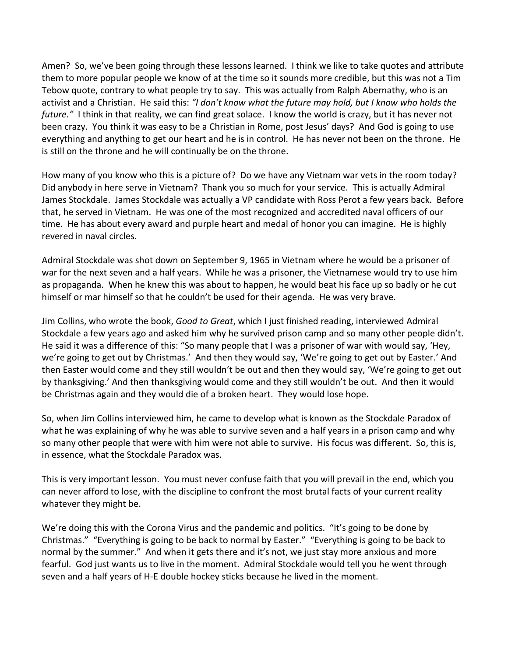Amen? So, we've been going through these lessons learned. I think we like to take quotes and attribute them to more popular people we know of at the time so it sounds more credible, but this was not a Tim Tebow quote, contrary to what people try to say. This was actually from Ralph Abernathy, who is an activist and a Christian. He said this: *"I don't know what the future may hold, but I know who holds the future."* I think in that reality, we can find great solace. I know the world is crazy, but it has never not been crazy. You think it was easy to be a Christian in Rome, post Jesus' days? And God is going to use everything and anything to get our heart and he is in control. He has never not been on the throne. He is still on the throne and he will continually be on the throne.

How many of you know who this is a picture of? Do we have any Vietnam war vets in the room today? Did anybody in here serve in Vietnam? Thank you so much for your service. This is actually Admiral James Stockdale. James Stockdale was actually a VP candidate with Ross Perot a few years back. Before that, he served in Vietnam. He was one of the most recognized and accredited naval officers of our time. He has about every award and purple heart and medal of honor you can imagine. He is highly revered in naval circles.

Admiral Stockdale was shot down on September 9, 1965 in Vietnam where he would be a prisoner of war for the next seven and a half years. While he was a prisoner, the Vietnamese would try to use him as propaganda. When he knew this was about to happen, he would beat his face up so badly or he cut himself or mar himself so that he couldn't be used for their agenda. He was very brave.

Jim Collins, who wrote the book, *Good to Great*, which I just finished reading, interviewed Admiral Stockdale a few years ago and asked him why he survived prison camp and so many other people didn't. He said it was a difference of this: "So many people that I was a prisoner of war with would say, 'Hey, we're going to get out by Christmas.' And then they would say, 'We're going to get out by Easter.' And then Easter would come and they still wouldn't be out and then they would say, 'We're going to get out by thanksgiving.' And then thanksgiving would come and they still wouldn't be out. And then it would be Christmas again and they would die of a broken heart. They would lose hope.

So, when Jim Collins interviewed him, he came to develop what is known as the Stockdale Paradox of what he was explaining of why he was able to survive seven and a half years in a prison camp and why so many other people that were with him were not able to survive. His focus was different. So, this is, in essence, what the Stockdale Paradox was.

This is very important lesson. You must never confuse faith that you will prevail in the end, which you can never afford to lose, with the discipline to confront the most brutal facts of your current reality whatever they might be.

We're doing this with the Corona Virus and the pandemic and politics. "It's going to be done by Christmas." "Everything is going to be back to normal by Easter." "Everything is going to be back to normal by the summer." And when it gets there and it's not, we just stay more anxious and more fearful. God just wants us to live in the moment. Admiral Stockdale would tell you he went through seven and a half years of H-E double hockey sticks because he lived in the moment.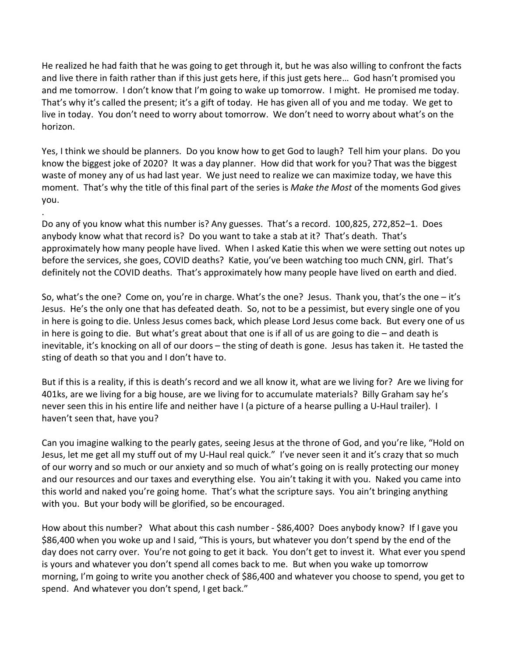He realized he had faith that he was going to get through it, but he was also willing to confront the facts and live there in faith rather than if this just gets here, if this just gets here… God hasn't promised you and me tomorrow. I don't know that I'm going to wake up tomorrow. I might. He promised me today. That's why it's called the present; it's a gift of today. He has given all of you and me today. We get to live in today. You don't need to worry about tomorrow. We don't need to worry about what's on the horizon.

Yes, I think we should be planners. Do you know how to get God to laugh? Tell him your plans. Do you know the biggest joke of 2020? It was a day planner. How did that work for you? That was the biggest waste of money any of us had last year. We just need to realize we can maximize today, we have this moment. That's why the title of this final part of the series is *Make the Most* of the moments God gives you.

.

Do any of you know what this number is? Any guesses. That's a record. 100,825, 272,852–1. Does anybody know what that record is? Do you want to take a stab at it? That's death. That's approximately how many people have lived. When I asked Katie this when we were setting out notes up before the services, she goes, COVID deaths? Katie, you've been watching too much CNN, girl. That's definitely not the COVID deaths. That's approximately how many people have lived on earth and died.

So, what's the one? Come on, you're in charge. What's the one? Jesus. Thank you, that's the one – it's Jesus. He's the only one that has defeated death. So, not to be a pessimist, but every single one of you in here is going to die. Unless Jesus comes back, which please Lord Jesus come back. But every one of us in here is going to die. But what's great about that one is if all of us are going to die – and death is inevitable, it's knocking on all of our doors – the sting of death is gone. Jesus has taken it. He tasted the sting of death so that you and I don't have to.

But if this is a reality, if this is death's record and we all know it, what are we living for? Are we living for 401ks, are we living for a big house, are we living for to accumulate materials? Billy Graham say he's never seen this in his entire life and neither have I (a picture of a hearse pulling a U-Haul trailer). I haven't seen that, have you?

Can you imagine walking to the pearly gates, seeing Jesus at the throne of God, and you're like, "Hold on Jesus, let me get all my stuff out of my U-Haul real quick." I've never seen it and it's crazy that so much of our worry and so much or our anxiety and so much of what's going on is really protecting our money and our resources and our taxes and everything else. You ain't taking it with you. Naked you came into this world and naked you're going home. That's what the scripture says. You ain't bringing anything with you. But your body will be glorified, so be encouraged.

How about this number? What about this cash number - \$86,400? Does anybody know? If I gave you \$86,400 when you woke up and I said, "This is yours, but whatever you don't spend by the end of the day does not carry over. You're not going to get it back. You don't get to invest it. What ever you spend is yours and whatever you don't spend all comes back to me. But when you wake up tomorrow morning, I'm going to write you another check of \$86,400 and whatever you choose to spend, you get to spend. And whatever you don't spend, I get back."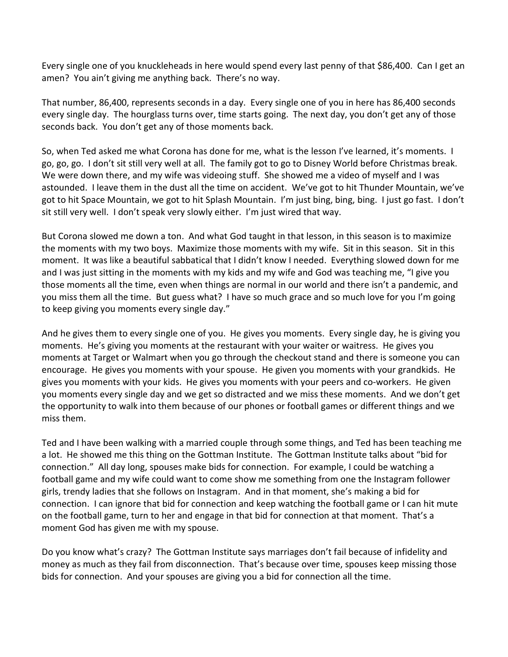Every single one of you knuckleheads in here would spend every last penny of that \$86,400. Can I get an amen? You ain't giving me anything back. There's no way.

That number, 86,400, represents seconds in a day. Every single one of you in here has 86,400 seconds every single day. The hourglass turns over, time starts going. The next day, you don't get any of those seconds back. You don't get any of those moments back.

So, when Ted asked me what Corona has done for me, what is the lesson I've learned, it's moments. I go, go, go. I don't sit still very well at all. The family got to go to Disney World before Christmas break. We were down there, and my wife was videoing stuff. She showed me a video of myself and I was astounded. I leave them in the dust all the time on accident. We've got to hit Thunder Mountain, we've got to hit Space Mountain, we got to hit Splash Mountain. I'm just bing, bing, bing. I just go fast. I don't sit still very well. I don't speak very slowly either. I'm just wired that way.

But Corona slowed me down a ton. And what God taught in that lesson, in this season is to maximize the moments with my two boys. Maximize those moments with my wife. Sit in this season. Sit in this moment. It was like a beautiful sabbatical that I didn't know I needed. Everything slowed down for me and I was just sitting in the moments with my kids and my wife and God was teaching me, "I give you those moments all the time, even when things are normal in our world and there isn't a pandemic, and you miss them all the time. But guess what? I have so much grace and so much love for you I'm going to keep giving you moments every single day."

And he gives them to every single one of you. He gives you moments. Every single day, he is giving you moments. He's giving you moments at the restaurant with your waiter or waitress. He gives you moments at Target or Walmart when you go through the checkout stand and there is someone you can encourage. He gives you moments with your spouse. He given you moments with your grandkids. He gives you moments with your kids. He gives you moments with your peers and co-workers. He given you moments every single day and we get so distracted and we miss these moments. And we don't get the opportunity to walk into them because of our phones or football games or different things and we miss them.

Ted and I have been walking with a married couple through some things, and Ted has been teaching me a lot. He showed me this thing on the Gottman Institute. The Gottman Institute talks about "bid for connection." All day long, spouses make bids for connection. For example, I could be watching a football game and my wife could want to come show me something from one the Instagram follower girls, trendy ladies that she follows on Instagram. And in that moment, she's making a bid for connection. I can ignore that bid for connection and keep watching the football game or I can hit mute on the football game, turn to her and engage in that bid for connection at that moment. That's a moment God has given me with my spouse.

Do you know what's crazy? The Gottman Institute says marriages don't fail because of infidelity and money as much as they fail from disconnection. That's because over time, spouses keep missing those bids for connection. And your spouses are giving you a bid for connection all the time.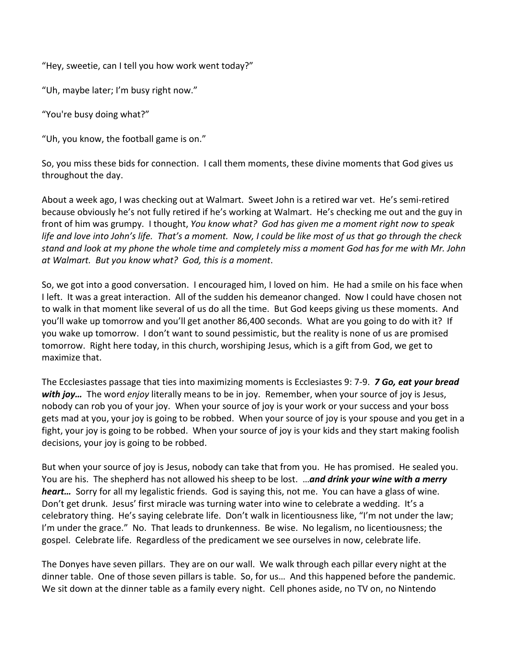"Hey, sweetie, can I tell you how work went today?"

"Uh, maybe later; I'm busy right now."

"You're busy doing what?"

"Uh, you know, the football game is on."

So, you miss these bids for connection. I call them moments, these divine moments that God gives us throughout the day.

About a week ago, I was checking out at Walmart. Sweet John is a retired war vet. He's semi-retired because obviously he's not fully retired if he's working at Walmart. He's checking me out and the guy in front of him was grumpy. I thought, *You know what? God has given me a moment right now to speak life and love into John's life. That's a moment. Now, I could be like most of us that go through the check stand and look at my phone the whole time and completely miss a moment God has for me with Mr. John at Walmart. But you know what? God, this is a moment*.

So, we got into a good conversation. I encouraged him, I loved on him. He had a smile on his face when I left. It was a great interaction. All of the sudden his demeanor changed. Now I could have chosen not to walk in that moment like several of us do all the time. But God keeps giving us these moments. And you'll wake up tomorrow and you'll get another 86,400 seconds. What are you going to do with it? If you wake up tomorrow. I don't want to sound pessimistic, but the reality is none of us are promised tomorrow. Right here today, in this church, worshiping Jesus, which is a gift from God, we get to maximize that.

The Ecclesiastes passage that ties into maximizing moments is Ecclesiastes 9: 7-9. *7 Go, eat your bread with joy…* The word *enjoy* literally means to be in joy. Remember, when your source of joy is Jesus, nobody can rob you of your joy. When your source of joy is your work or your success and your boss gets mad at you, your joy is going to be robbed. When your source of joy is your spouse and you get in a fight, your joy is going to be robbed. When your source of joy is your kids and they start making foolish decisions, your joy is going to be robbed.

But when your source of joy is Jesus, nobody can take that from you. He has promised. He sealed you. You are his. The shepherd has not allowed his sheep to be lost. …*and drink your wine with a merry heart…* Sorry for all my legalistic friends. God is saying this, not me. You can have a glass of wine. Don't get drunk. Jesus' first miracle was turning water into wine to celebrate a wedding. It's a celebratory thing. He's saying celebrate life. Don't walk in licentiousness like, "I'm not under the law; I'm under the grace." No. That leads to drunkenness. Be wise. No legalism, no licentiousness; the gospel. Celebrate life. Regardless of the predicament we see ourselves in now, celebrate life.

The Donyes have seven pillars. They are on our wall. We walk through each pillar every night at the dinner table. One of those seven pillars is table. So, for us… And this happened before the pandemic. We sit down at the dinner table as a family every night. Cell phones aside, no TV on, no Nintendo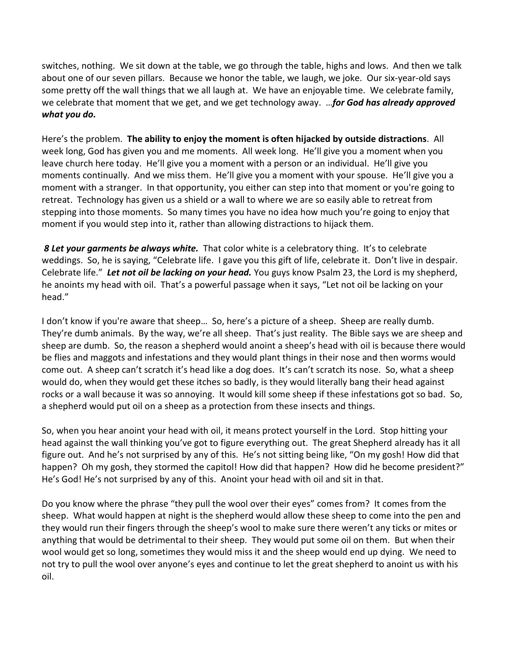switches, nothing. We sit down at the table, we go through the table, highs and lows. And then we talk about one of our seven pillars. Because we honor the table, we laugh, we joke. Our six-year-old says some pretty off the wall things that we all laugh at. We have an enjoyable time. We celebrate family, we celebrate that moment that we get, and we get technology away. …*for God has already approved what you do.*

Here's the problem. **The ability to enjoy the moment is often hijacked by outside distractions**. All week long, God has given you and me moments. All week long. He'll give you a moment when you leave church here today. He'll give you a moment with a person or an individual. He'll give you moments continually. And we miss them. He'll give you a moment with your spouse. He'll give you a moment with a stranger. In that opportunity, you either can step into that moment or you're going to retreat. Technology has given us a shield or a wall to where we are so easily able to retreat from stepping into those moments. So many times you have no idea how much you're going to enjoy that moment if you would step into it, rather than allowing distractions to hijack them.

*8 Let your garments be always white.* That color white is a celebratory thing. It's to celebrate weddings. So, he is saying, "Celebrate life. I gave you this gift of life, celebrate it. Don't live in despair. Celebrate life." *Let not oil be lacking on your head.* You guys know Psalm 23, the Lord is my shepherd, he anoints my head with oil. That's a powerful passage when it says, "Let not oil be lacking on your head."

I don't know if you're aware that sheep… So, here's a picture of a sheep. Sheep are really dumb. They're dumb animals. By the way, we're all sheep. That's just reality. The Bible says we are sheep and sheep are dumb. So, the reason a shepherd would anoint a sheep's head with oil is because there would be flies and maggots and infestations and they would plant things in their nose and then worms would come out. A sheep can't scratch it's head like a dog does. It's can't scratch its nose. So, what a sheep would do, when they would get these itches so badly, is they would literally bang their head against rocks or a wall because it was so annoying. It would kill some sheep if these infestations got so bad. So, a shepherd would put oil on a sheep as a protection from these insects and things.

So, when you hear anoint your head with oil, it means protect yourself in the Lord. Stop hitting your head against the wall thinking you've got to figure everything out. The great Shepherd already has it all figure out. And he's not surprised by any of this. He's not sitting being like, "On my gosh! How did that happen? Oh my gosh, they stormed the capitol! How did that happen? How did he become president?" He's God! He's not surprised by any of this. Anoint your head with oil and sit in that.

Do you know where the phrase "they pull the wool over their eyes" comes from? It comes from the sheep. What would happen at night is the shepherd would allow these sheep to come into the pen and they would run their fingers through the sheep's wool to make sure there weren't any ticks or mites or anything that would be detrimental to their sheep. They would put some oil on them. But when their wool would get so long, sometimes they would miss it and the sheep would end up dying. We need to not try to pull the wool over anyone's eyes and continue to let the great shepherd to anoint us with his oil.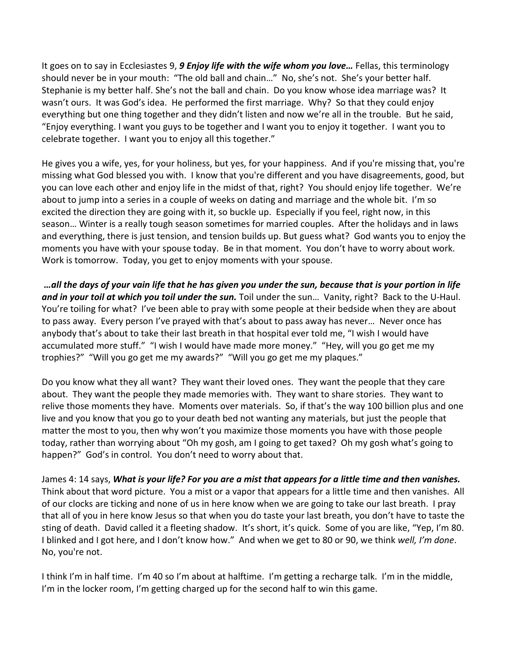It goes on to say in Ecclesiastes 9, *9 Enjoy life with the wife whom you love…* Fellas, this terminology should never be in your mouth: "The old ball and chain…" No, she's not. She's your better half. Stephanie is my better half. She's not the ball and chain. Do you know whose idea marriage was? It wasn't ours. It was God's idea. He performed the first marriage. Why? So that they could enjoy everything but one thing together and they didn't listen and now we're all in the trouble. But he said, "Enjoy everything. I want you guys to be together and I want you to enjoy it together. I want you to celebrate together. I want you to enjoy all this together."

He gives you a wife, yes, for your holiness, but yes, for your happiness. And if you're missing that, you're missing what God blessed you with. I know that you're different and you have disagreements, good, but you can love each other and enjoy life in the midst of that, right? You should enjoy life together. We're about to jump into a series in a couple of weeks on dating and marriage and the whole bit. I'm so excited the direction they are going with it, so buckle up. Especially if you feel, right now, in this season… Winter is a really tough season sometimes for married couples. After the holidays and in laws and everything, there is just tension, and tension builds up. But guess what? God wants you to enjoy the moments you have with your spouse today. Be in that moment. You don't have to worry about work. Work is tomorrow. Today, you get to enjoy moments with your spouse.

*…all the days of your vain life that he has given you under the sun, because that is your portion in life and in your toil at which you toil under the sun.* Toil under the sun… Vanity, right? Back to the U-Haul. You're toiling for what? I've been able to pray with some people at their bedside when they are about to pass away. Every person I've prayed with that's about to pass away has never… Never once has anybody that's about to take their last breath in that hospital ever told me, "I wish I would have accumulated more stuff." "I wish I would have made more money." "Hey, will you go get me my trophies?" "Will you go get me my awards?" "Will you go get me my plaques."

Do you know what they all want? They want their loved ones. They want the people that they care about. They want the people they made memories with. They want to share stories. They want to relive those moments they have. Moments over materials. So, if that's the way 100 billion plus and one live and you know that you go to your death bed not wanting any materials, but just the people that matter the most to you, then why won't you maximize those moments you have with those people today, rather than worrying about "Oh my gosh, am I going to get taxed? Oh my gosh what's going to happen?" God's in control. You don't need to worry about that.

James 4: 14 says, *What is your life? For you are a mist that appears for a little time and then vanishes.* Think about that word picture. You a mist or a vapor that appears for a little time and then vanishes. All of our clocks are ticking and none of us in here know when we are going to take our last breath. I pray that all of you in here know Jesus so that when you do taste your last breath, you don't have to taste the sting of death. David called it a fleeting shadow. It's short, it's quick. Some of you are like, "Yep, I'm 80. I blinked and I got here, and I don't know how." And when we get to 80 or 90, we think *well, I'm done*. No, you're not.

I think I'm in half time. I'm 40 so I'm about at halftime. I'm getting a recharge talk. I'm in the middle, I'm in the locker room, I'm getting charged up for the second half to win this game.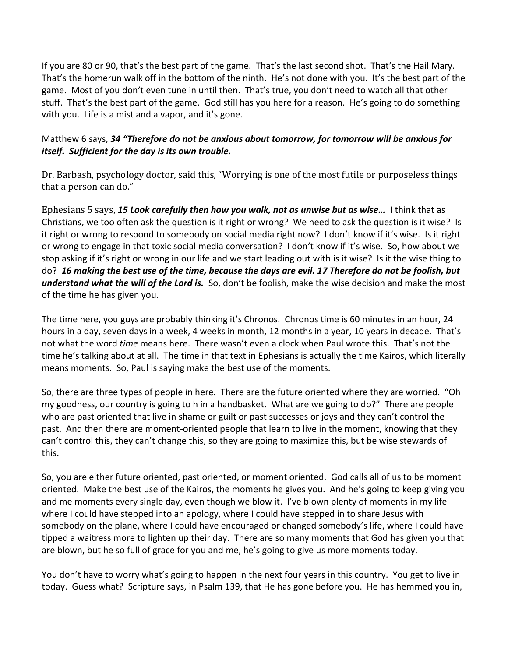If you are 80 or 90, that's the best part of the game. That's the last second shot. That's the Hail Mary. That's the homerun walk off in the bottom of the ninth. He's not done with you. It's the best part of the game. Most of you don't even tune in until then. That's true, you don't need to watch all that other stuff. That's the best part of the game. God still has you here for a reason. He's going to do something with you. Life is a mist and a vapor, and it's gone.

## Matthew 6 says, *34 "Therefore do not be anxious about tomorrow, for tomorrow will be anxious for itself. Sufficient for the day is its own trouble.*

Dr. Barbash, psychology doctor, said this, "Worrying is one of the most futile or purposeless things that a person can do."

Ephesians 5 says, *15 Look carefully then how you walk, not as unwise but as wise…* I think that as Christians, we too often ask the question is it right or wrong? We need to ask the question is it wise? Is it right or wrong to respond to somebody on social media right now? I don't know if it's wise. Is it right or wrong to engage in that toxic social media conversation? I don't know if it's wise. So, how about we stop asking if it's right or wrong in our life and we start leading out with is it wise? Is it the wise thing to do? *16 making the best use of the time, because the days are evil. 17 Therefore do not be foolish, but understand what the will of the Lord is.* So, don't be foolish, make the wise decision and make the most of the time he has given you.

The time here, you guys are probably thinking it's Chronos. Chronos time is 60 minutes in an hour, 24 hours in a day, seven days in a week, 4 weeks in month, 12 months in a year, 10 years in decade. That's not what the word *time* means here. There wasn't even a clock when Paul wrote this. That's not the time he's talking about at all. The time in that text in Ephesians is actually the time Kairos, which literally means moments. So, Paul is saying make the best use of the moments.

So, there are three types of people in here. There are the future oriented where they are worried. "Oh my goodness, our country is going to h in a handbasket. What are we going to do?" There are people who are past oriented that live in shame or guilt or past successes or joys and they can't control the past. And then there are moment-oriented people that learn to live in the moment, knowing that they can't control this, they can't change this, so they are going to maximize this, but be wise stewards of this.

So, you are either future oriented, past oriented, or moment oriented. God calls all of us to be moment oriented. Make the best use of the Kairos, the moments he gives you. And he's going to keep giving you and me moments every single day, even though we blow it. I've blown plenty of moments in my life where I could have stepped into an apology, where I could have stepped in to share Jesus with somebody on the plane, where I could have encouraged or changed somebody's life, where I could have tipped a waitress more to lighten up their day. There are so many moments that God has given you that are blown, but he so full of grace for you and me, he's going to give us more moments today.

You don't have to worry what's going to happen in the next four years in this country. You get to live in today. Guess what? Scripture says, in Psalm 139, that He has gone before you. He has hemmed you in,